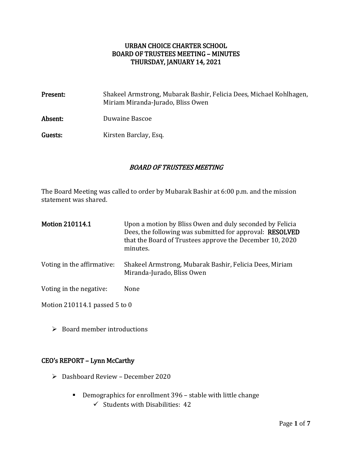### URBAN CHOICE CHARTER SCHOOL BOARD OF TRUSTEES MEETING – MINUTES THURSDAY, JANUARY 14, 2021

| Present: | Shakeel Armstrong, Mubarak Bashir, Felicia Dees, Michael Kohlhagen,<br>Miriam Miranda-Jurado, Bliss Owen |
|----------|----------------------------------------------------------------------------------------------------------|
| Absent:  | Duwaine Bascoe                                                                                           |
| Guests:  | Kirsten Barclay, Esq.                                                                                    |

### BOARD OF TRUSTEES MEETING

The Board Meeting was called to order by Mubarak Bashir at 6:00 p.m. and the mission statement was shared.

| <b>Motion 210114.1</b>     | Upon a motion by Bliss Owen and duly seconded by Felicia<br>Dees, the following was submitted for approval: RESOLVED<br>that the Board of Trustees approve the December 10, 2020<br>minutes. |
|----------------------------|----------------------------------------------------------------------------------------------------------------------------------------------------------------------------------------------|
| Voting in the affirmative: | Shakeel Armstrong, Mubarak Bashir, Felicia Dees, Miriam<br>Miranda-Jurado, Bliss Owen                                                                                                        |
| Voting in the negative:    | None                                                                                                                                                                                         |

Motion 210114.1 passed 5 to 0

 $\triangleright$  Board member introductions

### CEO's REPORT – Lynn McCarthy

- Dashboard Review December 2020
	- Demographics for enrollment 396 stable with little change
		- $\checkmark$  Students with Disabilities: 42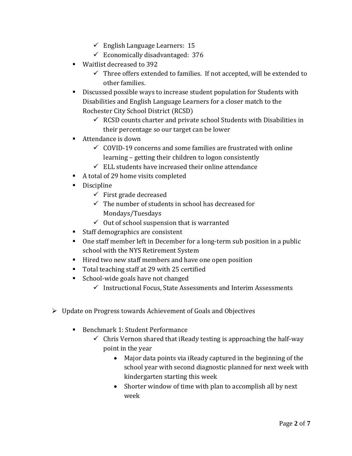- $\checkmark$  English Language Learners: 15
- $\checkmark$  Economically disadvantaged: 376
- **Waitlist decreased to 392** 
	- $\checkmark$  Three offers extended to families. If not accepted, will be extended to other families.
- Discussed possible ways to increase student population for Students with Disabilities and English Language Learners for a closer match to the Rochester City School District (RCSD)
	- $\checkmark$  RCSD counts charter and private school Students with Disabilities in their percentage so our target can be lower
- Attendance is down
	- $\checkmark$  COVID-19 concerns and some families are frustrated with online learning – getting their children to logon consistently
	- $\checkmark$  ELL students have increased their online attendance
- A total of 29 home visits completed
- **Discipline** 
	- $\checkmark$  First grade decreased
	- $\checkmark$  The number of students in school has decreased for Mondays/Tuesdays
	- $\checkmark$  Out of school suspension that is warranted
- Staff demographics are consistent
- One staff member left in December for a long-term sub position in a public school with the NYS Retirement System
- Hired two new staff members and have one open position
- Total teaching staff at 29 with 25 certified
- School-wide goals have not changed
	- $\checkmark$  Instructional Focus, State Assessments and Interim Assessments
- Update on Progress towards Achievement of Goals and Objectives
	- Benchmark 1: Student Performance
		- $\checkmark$  Chris Vernon shared that iReady testing is approaching the half-way point in the year
			- Major data points via iReady captured in the beginning of the school year with second diagnostic planned for next week with kindergarten starting this week
			- Shorter window of time with plan to accomplish all by next week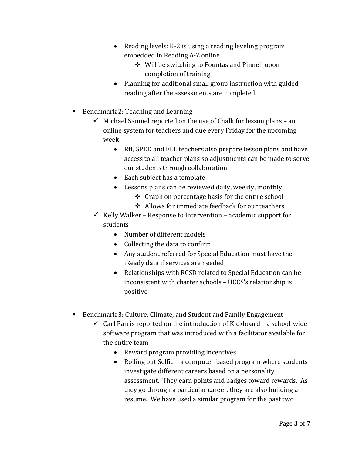- Reading levels: K-2 is using a reading leveling program embedded in Reading A-Z online
	- ❖ Will be switching to Fountas and Pinnell upon completion of training
- Planning for additional small group instruction with guided reading after the assessments are completed
- Benchmark 2: Teaching and Learning
	- $\checkmark$  Michael Samuel reported on the use of Chalk for lesson plans an online system for teachers and due every Friday for the upcoming week
		- RtI, SPED and ELL teachers also prepare lesson plans and have access to all teacher plans so adjustments can be made to serve our students through collaboration
		- Each subject has a template
		- Lessons plans can be reviewed daily, weekly, monthly
			- $\div$  Graph on percentage basis for the entire school
			- ❖ Allows for immediate feedback for our teachers
	- $\checkmark$  Kelly Walker Response to Intervention academic support for students
		- Number of different models
		- Collecting the data to confirm
		- Any student referred for Special Education must have the iReady data if services are needed
		- Relationships with RCSD related to Special Education can be inconsistent with charter schools – UCCS's relationship is positive
- Benchmark 3: Culture, Climate, and Student and Family Engagement
	- $\checkmark$  Carl Parris reported on the introduction of Kickboard a school-wide software program that was introduced with a facilitator available for the entire team
		- Reward program providing incentives
		- Rolling out Selfie a computer-based program where students investigate different careers based on a personality assessment. They earn points and badges toward rewards. As they go through a particular career, they are also building a resume. We have used a similar program for the past two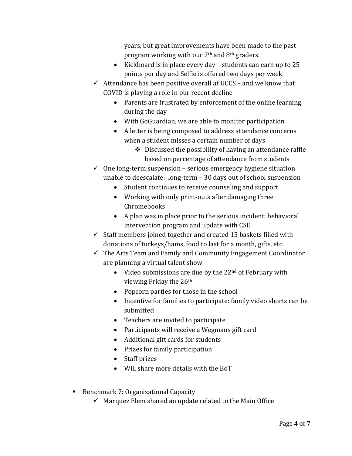years, but great improvements have been made to the past program working with our 7th and 8th graders.

- Kickboard is in place every day students can earn up to 25 points per day and Selfie is offered two days per week
- $\checkmark$  Attendance has been positive overall at UCCS and we know that COVID is playing a role in our recent decline
	- Parents are frustrated by enforcement of the online learning during the day
	- With GoGuardian, we are able to monitor participation
	- A letter is being composed to address attendance concerns when a student misses a certain number of days
		- $\div$  Discussed the possibility of having an attendance raffle based on percentage of attendance from students

 $\checkmark$  One long-term suspension – serious emergency hygiene situation unable to deescalate: long-term – 30 days out of school suspension

- Student continues to receive counseling and support
- Working with only print-outs after damaging three Chromebooks
- A plan was in place prior to the serious incident: behavioral intervention program and update with CSE
- $\checkmark$  Staff members joined together and created 15 baskets filled with donations of turkeys/hams, food to last for a month, gifts, etc.
- $\checkmark$  The Arts Team and Family and Community Engagement Coordinator are planning a virtual talent show
	- $\bullet$  Video submissions are due by the 22<sup>nd</sup> of February with viewing Friday the 26th
	- Popcorn parties for those in the school
	- Incentive for families to participate: family video shorts can be submitted
	- Teachers are invited to participate
	- Participants will receive a Wegmans gift card
	- Additional gift cards for students
	- Prizes for family participation
	- Staff prizes
	- Will share more details with the BoT
- Benchmark 7: Organizational Capacity
	- $\checkmark$  Marquez Elem shared an update related to the Main Office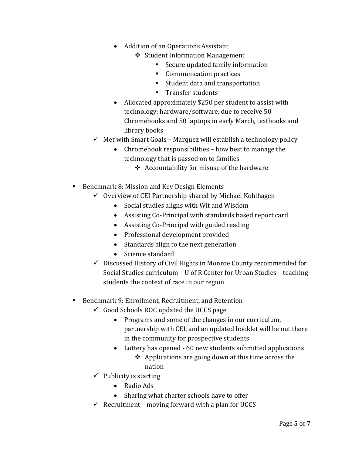- Addition of an Operations Assistant
	- ❖ Student Information Management
		- Secure updated family information
		- **Communication practices**
		- Student data and transportation
		- **Transfer students**
- Allocated approximately \$250 per student to assist with technology: hardware/software, due to receive 50 Chromebooks and 50 laptops in early March, textbooks and library books
- $\checkmark$  Met with Smart Goals Marquez will establish a technology policy
	- Chromebook responsibilities how best to manage the technology that is passed on to families
		- ❖ Accountability for misuse of the hardware
- Benchmark 8: Mission and Key Design Elements
	- $\checkmark$  Overview of CEI Partnership shared by Michael Kohlhagen
		- Social studies aligns with Wit and Wisdom
		- Assisting Co-Principal with standards based report card
		- Assisting Co-Principal with guided reading
		- Professional development provided
		- Standards align to the next generation
		- Science standard
	- Discussed History of Civil Rights in Monroe County recommended for Social Studies curriculum – U of R Center for Urban Studies – teaching students the context of race in our region

## ■ Benchmark 9: Enrollment, Recruitment, and Retention

- $\checkmark$  Good Schools ROC updated the UCCS page
	- Programs and some of the changes in our curriculum, partnership with CEI, and an updated booklet will be out there in the community for prospective students
	- Lottery has opened 60 new students submitted applications
		- $\triangleleft$  Applications are going down at this time across the nation
- $\checkmark$  Publicity is starting
	- Radio Ads
	- Sharing what charter schools have to offer
- $\checkmark$  Recruitment moving forward with a plan for UCCS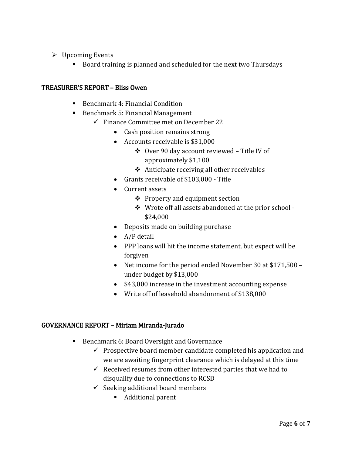- $\triangleright$  Upcoming Events
	- Board training is planned and scheduled for the next two Thursdays

### TREASURER'S REPORT – Bliss Owen

- Benchmark 4: Financial Condition
- Benchmark 5: Financial Management
	- $\checkmark$  Finance Committee met on December 22
		- Cash position remains strong
		- Accounts receivable is \$31,000
			- Over 90 day account reviewed Title IV of approximately \$1,100
			- $\triangle$  Anticipate receiving all other receivables
		- Grants receivable of \$103,000 Title
		- Current assets
			- $\triangle$  Property and equipment section
			- Wrote off all assets abandoned at the prior school \$24,000
		- Deposits made on building purchase
		- A/P detail
		- PPP loans will hit the income statement, but expect will be forgiven
		- Net income for the period ended November 30 at \$171,500 under budget by \$13,000
		- \$43,000 increase in the investment accounting expense
		- Write off of leasehold abandonment of \$138,000

### GOVERNANCE REPORT – Miriam Miranda-Jurado

- Benchmark 6: Board Oversight and Governance
	- $\checkmark$  Prospective board member candidate completed his application and we are awaiting fingerprint clearance which is delayed at this time
	- $\checkmark$  Received resumes from other interested parties that we had to disqualify due to connections to RCSD
	- $\checkmark$  Seeking additional board members
		- Additional parent